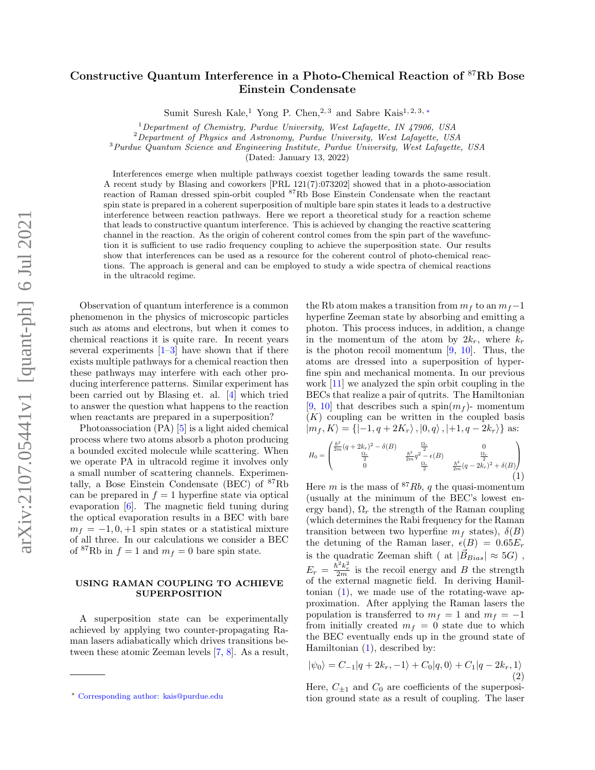## Constructive Quantum Interference in a Photo-Chemical Reaction of <sup>87</sup>Rb Bose Einstein Condensate

Sumit Suresh Kale,<sup>1</sup> Yong P. Chen,<sup>2, 3</sup> and Sabre Kais<sup>1, 2, 3, \*</sup>

 $1$ Department of Chemistry, Purdue University, West Lafayette, IN 47906, USA

 ${}^{2}$ Department of Physics and Astronomy, Purdue University, West Lafayette, USA

 $3$ Purdue Quantum Science and Engineering Institute, Purdue University, West Lafayette, USA

(Dated: January 13, 2022)

Interferences emerge when multiple pathways coexist together leading towards the same result. A recent study by Blasing and coworkers [PRL 121(7):073202] showed that in a photo-association reaction of Raman dressed spin-orbit coupled <sup>87</sup>Rb Bose Einstein Condensate when the reactant spin state is prepared in a coherent superposition of multiple bare spin states it leads to a destructive interference between reaction pathways. Here we report a theoretical study for a reaction scheme that leads to constructive quantum interference. This is achieved by changing the reactive scattering channel in the reaction. As the origin of coherent control comes from the spin part of the wavefunction it is sufficient to use radio frequency coupling to achieve the superposition state. Our results show that interferences can be used as a resource for the coherent control of photo-chemical reactions. The approach is general and can be employed to study a wide spectra of chemical reactions in the ultracold regime.

Observation of quantum interference is a common phenomenon in the physics of microscopic particles such as atoms and electrons, but when it comes to chemical reactions it is quite rare. In recent years several experiments  $[1-3]$  have shown that if there exists multiple pathways for a chemical reaction then these pathways may interfere with each other producing interference patterns. Similar experiment has been carried out by Blasing et. al. [\[4\]](#page-4-2) which tried to answer the question what happens to the reaction when reactants are prepared in a superposition?

Photoassociation (PA) [\[5\]](#page-4-3) is a light aided chemical process where two atoms absorb a photon producing a bounded excited molecule while scattering. When we operate PA in ultracold regime it involves only a small number of scattering channels. Experimentally, a Bose Einstein Condensate (BEC) of <sup>87</sup>Rb can be prepared in  $f = 1$  hyperfine state via optical evaporation [\[6\]](#page-4-4). The magnetic field tuning during the optical evaporation results in a BEC with bare  $m_f = -1, 0, +1$  spin states or a statistical mixture of all three. In our calculations we consider a BEC of <sup>87</sup>Rb in  $f = 1$  and  $m_f = 0$  bare spin state.

## USING RAMAN COUPLING TO ACHIEVE SUPERPOSITION

A superposition state can be experimentally achieved by applying two counter-propagating Raman lasers adiabatically which drives transitions between these atomic Zeeman levels [\[7,](#page-4-5) [8\]](#page-4-6). As a result, the Rb atom makes a transition from  $m_f$  to an  $m_f-1$ hyperfine Zeeman state by absorbing and emitting a photon. This process induces, in addition, a change in the momentum of the atom by  $2k_r$ , where  $k_r$ is the photon recoil momentum  $[9, 10]$  $[9, 10]$ . Thus, the atoms are dressed into a superposition of hyperfine spin and mechanical momenta. In our previous work [\[11\]](#page-5-2) we analyzed the spin orbit coupling in the BECs that realize a pair of qutrits. The Hamiltonian [\[9,](#page-5-0) [10\]](#page-5-1) that describes such a spin $(m<sub>f</sub>)$ - momentum  $(K)$  coupling can be written in the coupled basis  $|m_f, K\rangle = \{| -1, q + 2K_r\rangle, |0, q\rangle, |+1, q - 2k_r\rangle\}$  as:

<span id="page-0-1"></span>
$$
H_0 = \begin{pmatrix} \frac{\hbar^2}{2m}(q+2k_r)^2 - \delta(B) & \frac{\Omega_r}{2} & 0\\ \frac{\Omega_r}{2} & \frac{\hbar^2}{2m}q^2 - \epsilon(B) & \frac{\Omega_r}{2} \\ 0 & 0 & \frac{\Omega_r}{2} & \frac{\hbar^2}{2m}(q-2k_r)^2 + \delta(B) \end{pmatrix}
$$
(1)

Here m is the mass of  $87Rb$ , q the quasi-momentum (usually at the minimum of the BEC's lowest energy band),  $\Omega_r$  the strength of the Raman coupling (which determines the Rabi frequency for the Raman transition between two hyperfine  $m_f$  states),  $\delta(B)$ the detuning of the Raman laser,  $\epsilon(B) = 0.65E_r$ is the quadratic Zeeman shift ( at  $|\vec{B}_{Bias}| \approx 5G$ ),  $E_r = \frac{\hbar^2 k_r^2}{2m}$  is the recoil energy and B the strength of the external magnetic field. In deriving Hamiltonian  $(1)$ , we made use of the rotating-wave approximation. After applying the Raman lasers the population is transferred to  $m_f = 1$  and  $m_f = -1$ from initially created  $m_f = 0$  state due to which the BEC eventually ends up in the ground state of Hamiltonian [\(1\)](#page-0-1), described by:

<span id="page-0-2"></span>
$$
|\psi_0\rangle = C_{-1}|q + 2k_r, -1\rangle + C_0|q, 0\rangle + C_1|q - 2k_r, 1\rangle
$$
\n(2)

Here,  $C_{\pm 1}$  and  $C_0$  are coefficients of the superposition ground state as a result of coupling. The laser

<span id="page-0-0"></span><sup>∗</sup> [Corresponding author: kais@purdue.edu](mailto:Corresponding author: kais@purdue.edu)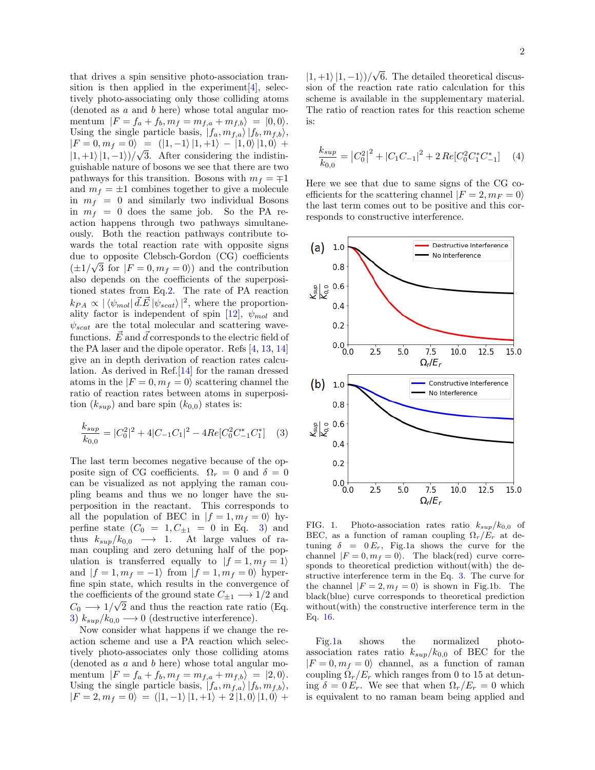that drives a spin sensitive photo-association transition is then applied in the experiment  $[4]$ , selectively photo-associating only those colliding atoms (denoted as  $a$  and  $b$  here) whose total angular momentum  $|F = f_a + f_b, m_f = m_{f,a} + m_{f,b} = |0,0\rangle.$ Using the single particle basis,  $|f_a, m_{f,a} \rangle |f_b, m_{f,b} \rangle$ ,  $|F = 0, m_f = 0\rangle = (|1, -1\rangle |1, +1\rangle - |1, 0\rangle |1, 0\rangle +$  $|1, +1\rangle |1, -1\rangle)/\sqrt{3}$ . After considering the indistinguishable nature of bosons we see that there are two pathways for this transition. Bosons with  $m_f = \pm 1$ and  $m_f = \pm 1$  combines together to give a molecule in  $m_f = 0$  and similarly two individual Bosons in  $m_f = 0$  does the same job. So the PA reaction happens through two pathways simultaneously. Both the reaction pathways contribute towards the total reaction rate with opposite signs due to opposite Clebsch-Gordon (CG) coefficients √  $(\pm 1/\sqrt{3} \text{ for } |F=0, m_f=0)$  and the contribution also depends on the coefficients of the superpositioned states from Eq[.2.](#page-0-2) The rate of PA reaction  $k_{PA} \propto |\langle \psi_{mol} | \vec{d}.\vec{E} | \psi_{scat} \rangle|^2$ , where the proportion-ality factor is independent of spin [\[12\]](#page-5-3),  $\psi_{mol}$  and  $\psi_{scat}$  are the total molecular and scattering wavefunctions.  $\vec{E}$  and  $\vec{d}$  corresponds to the electric field of the PA laser and the dipole operator. Refs [\[4,](#page-4-2) [13,](#page-5-4) [14\]](#page-5-5) give an in depth derivation of reaction rates calculation. As derived in Ref.[\[14\]](#page-5-5) for the raman dressed atoms in the  $|F = 0, m_f = 0\rangle$  scattering channel the ratio of reaction rates between atoms in superposition  $(k_{sup})$  and bare spin  $(k_{0,0})$  states is:

<span id="page-1-0"></span>
$$
\frac{k_{sup}}{k_{0,0}} = |C_0^2|^2 + 4|C_{-1}C_1|^2 - 4Re[C_0^2C_{-1}^*C_1^*]
$$
 (3)

The last term becomes negative because of the opposite sign of CG coefficients.  $\Omega_r = 0$  and  $\delta = 0$ can be visualized as not applying the raman coupling beams and thus we no longer have the superposition in the reactant. This corresponds to all the population of BEC in  $|f = 1, m_f = 0\rangle$  hyperfine state  $(C_0 = 1, C_{\pm 1} = 0$  in Eq. [3\)](#page-1-0) and thus  $k_{sup}/k_{0,0} \rightarrow 1$ . At large values of raman coupling and zero detuning half of the population is transferred equally to  $|f = 1, m_f = 1\rangle$ and  $|f = 1, m_f = -1$  from  $|f = 1, m_f = 0$  hyperfine spin state, which results in the convergence of the coefficients of the ground state  $C_{\pm 1} \longrightarrow 1/2$  and  $C_0 \longrightarrow 1/\sqrt{2}$  and thus the reaction rate ratio (Eq. [3\)](#page-1-0)  $k_{sup}/k_{0,0} \longrightarrow 0$  (destructive interference).

Now consider what happens if we change the reaction scheme and use a PA reaction which selectively photo-associates only those colliding atoms (denoted as  $a$  and  $b$  here) whose total angular momentum  $|F = f_a + f_b, m_f = m_{f,a} + m_{f,b} = |2, 0\rangle.$ Using the single particle basis,  $|f_a, m_{f,a} \rangle |f_b, m_{f,b} \rangle$ ,  $|F = 2, m_f = 0\rangle = (|1, -1\rangle |1, +1\rangle + 2 |1, 0\rangle |1, 0\rangle +$ 

 $|1, +1\rangle |1, -1\rangle)/$ √ 6. The detailed theoretical discussion of the reaction rate ratio calculation for this scheme is available in the supplementary material. The ratio of reaction rates for this reaction scheme is:

$$
\frac{k_{sup}}{k_{0,0}} = |C_0^2|^2 + |C_1C_{-1}|^2 + 2\operatorname{Re}[C_0^2 C_1^* C_{-1}^*] \tag{4}
$$

Here we see that due to same signs of the CG coefficients for the scattering channel  $|F = 2, m_F = 0\rangle$ the last term comes out to be positive and this corresponds to constructive interference.



<span id="page-1-1"></span>FIG. 1. Photo-association rates ratio  $k_{sup}/k_{0,0}$  of BEC, as a function of raman coupling  $\Omega_r/E_r$  at detuning  $\delta = 0 E_r$ , Fig.1a shows the curve for the channel  $|F = 0, m_f = 0\rangle$ . The black(red) curve corresponds to theoretical prediction without(with) the destructive interference term in the Eq. [3.](#page-1-0) The curve for the channel  $|F = 2, m_f = 0\rangle$  is shown in Fig.1b. The black(blue) curve corresponds to theoretical prediction without(with) the constructive interference term in the Eq. [16.](#page-7-0)

Fig[.1a](#page-1-1) shows the normalized photoassociation rates ratio  $k_{sup}/k_{0,0}$  of BEC for the  $|F = 0, m_f = 0\rangle$  channel, as a function of raman coupling  $\Omega_r/E_r$  which ranges from 0 to 15 at detuning  $\delta = 0 E_r$ . We see that when  $\Omega_r / E_r = 0$  which is equivalent to no raman beam being applied and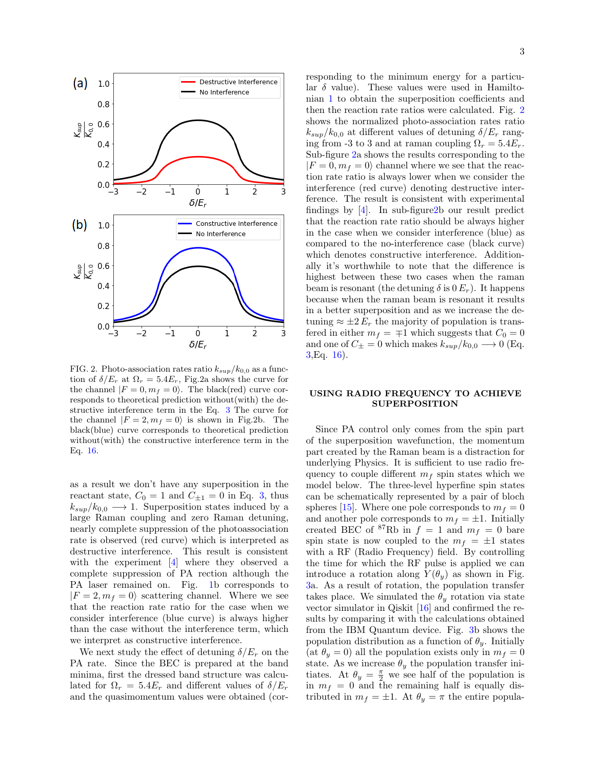

<span id="page-2-0"></span>FIG. 2. Photo-association rates ratio  $k_{sup}/k_{0,0}$  as a function of  $\delta/E_r$  at  $\Omega_r = 5.4E_r$ , Fig.2a shows the curve for the channel  $|F = 0, m_f = 0\rangle$ . The black(red) curve corresponds to theoretical prediction without(with) the destructive interference term in the Eq. [3](#page-1-0) The curve for the channel  $|F = 2, m_f = 0\rangle$  is shown in Fig.2b. The black(blue) curve corresponds to theoretical prediction without(with) the constructive interference term in the Eq. [16.](#page-7-0)

as a result we don't have any superposition in the reactant state,  $C_0 = 1$  and  $C_{\pm 1} = 0$  in Eq. [3,](#page-1-0) thus  $k_{sup}/k_{0,0} \longrightarrow 1$ . Superposition states induced by a large Raman coupling and zero Raman detuning, nearly complete suppression of the photoassociation rate is observed (red curve) which is interpreted as destructive interference. This result is consistent with the experiment [\[4\]](#page-4-2) where they observed a complete suppression of PA rection although the PA laser remained on. Fig. [1b](#page-1-1) corresponds to  $|F = 2, m_f = 0\rangle$  scattering channel. Where we see that the reaction rate ratio for the case when we consider interference (blue curve) is always higher than the case without the interference term, which we interpret as constructive interference.

We next study the effect of detuning  $\delta/E_r$  on the PA rate. Since the BEC is prepared at the band minima, first the dressed band structure was calculated for  $\Omega_r = 5.4E_r$  and different values of  $\delta/E_r$ and the quasimomentum values were obtained (corresponding to the minimum energy for a particular  $\delta$  value). These values were used in Hamiltonian [1](#page-0-1) to obtain the superposition coefficients and then the reaction rate ratios were calculated. Fig. [2](#page-2-0) shows the normalized photo-association rates ratio  $k_{sup}/k_{0.0}$  at different values of detuning  $\delta/E_r$  ranging from -3 to 3 and at raman coupling  $\Omega_r = 5.4E_r$ . Sub-figure [2a](#page-2-0) shows the results corresponding to the  $|F = 0, m_f = 0\rangle$  channel where we see that the reaction rate ratio is always lower when we consider the interference (red curve) denoting destructive interference. The result is consistent with experimental findings by [\[4\]](#page-4-2). In sub-figur[e2b](#page-2-0) our result predict that the reaction rate ratio should be always higher in the case when we consider interference (blue) as compared to the no-interference case (black curve) which denotes constructive interference. Additionally it's worthwhile to note that the difference is highest between these two cases when the raman beam is resonant (the detuning  $\delta$  is  $0 E_r$ ). It happens because when the raman beam is resonant it results in a better superposition and as we increase the detuning  $\approx \pm 2 E_r$  the majority of population is transfered in either  $m_f = \pm 1$  which suggests that  $C_0 = 0$ and one of  $C_{\pm} = 0$  which makes  $k_{sup}/k_{0,0} \longrightarrow 0$  (Eq.  $3,$ Eq.  $16$ ).

## USING RADIO FREQUENCY TO ACHIEVE SUPERPOSITION

Since PA control only comes from the spin part of the superposition wavefunction, the momentum part created by the Raman beam is a distraction for underlying Physics. It is sufficient to use radio frequency to couple different  $m_f$  spin states which we model below. The three-level hyperfine spin states can be schematically represented by a pair of bloch spheres [\[15\]](#page-5-6). Where one pole corresponds to  $m_f = 0$ and another pole corresponds to  $m_f = \pm 1$ . Initially created BEC of  ${}^{87}$ Rb in  $f = 1$  and  $m_f = 0$  bare spin state is now coupled to the  $m_f = \pm 1$  states with a RF (Radio Frequency) field. By controlling the time for which the RF pulse is applied we can introduce a rotation along  $Y(\theta_u)$  as shown in Fig. [3a](#page-3-0). As a result of rotation, the population transfer takes place. We simulated the  $\theta_{y}$  rotation via state vector simulator in Qiskit [\[16\]](#page-5-7) and confirmed the results by comparing it with the calculations obtained from the IBM Quantum device. Fig. [3b](#page-3-0) shows the population distribution as a function of  $\theta_y$ . Initially (at  $\theta_y = 0$ ) all the population exists only in  $m_f = 0$ state. As we increase  $\theta_y$  the population transfer initiates. At  $\theta_y = \frac{\pi}{2}$  we see half of the population is in  $m_f = 0$  and the remaining half is equally distributed in  $m_f = \pm 1$ . At  $\theta_y = \pi$  the entire popula-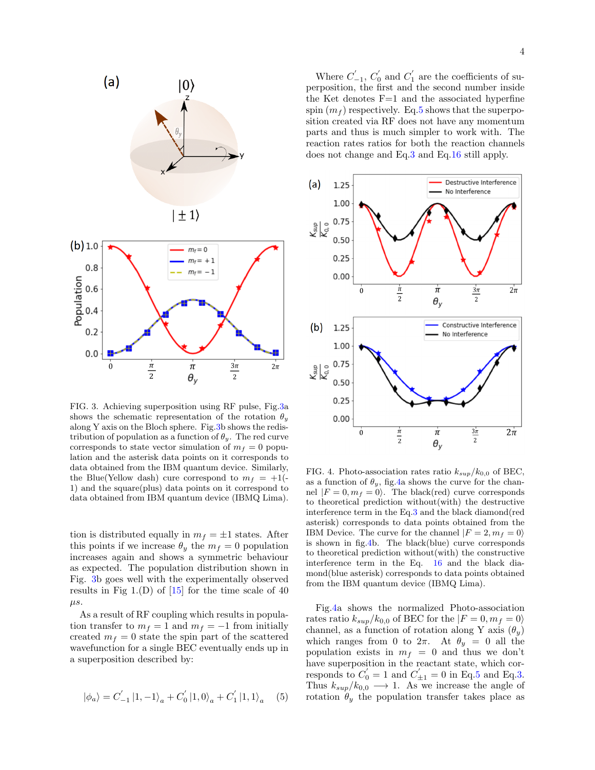

<span id="page-3-0"></span>FIG. 3. Achieving superposition using RF pulse, Fig[.3a](#page-3-0) shows the schematic representation of the rotation  $\theta_y$ along Y axis on the Bloch sphere. Fig[.3b](#page-3-0) shows the redistribution of population as a function of  $\theta_y$ . The red curve corresponds to state vector simulation of  $m_f = 0$  population and the asterisk data points on it corresponds to data obtained from the IBM quantum device. Similarly, the Blue(Yellow dash) cure correspond to  $m_f = +1$ . 1) and the square(plus) data points on it correspond to data obtained from IBM quantum device (IBMQ Lima).

tion is distributed equally in  $m_f = \pm 1$  states. After this points if we increase  $\theta_y$  the  $m_f = 0$  population increases again and shows a symmetric behaviour as expected. The population distribution shown in Fig. [3b](#page-3-0) goes well with the experimentally observed results in Fig  $1.(D)$  of  $[15]$  for the time scale of 40  $\mu s$ .

As a result of RF coupling which results in population transfer to  $m_f = 1$  and  $m_f = -1$  from initially created  $m_f = 0$  state the spin part of the scattered wavefunction for a single BEC eventually ends up in a superposition described by:

<span id="page-3-1"></span>
$$
\left|\phi_{a}\right\rangle =C_{-1}^{'}\left|1,-1\right\rangle _{a}+C_{0}^{'}\left|1,0\right\rangle _{a}+C_{1}^{'}\left|1,1\right\rangle _{a}\quad \ (5)
$$

Where  $C'_{-1}$ ,  $C'_{0}$  and  $C'_{1}$  are the coefficients of superposition, the first and the second number inside the Ket denotes  $F=1$  and the associated hyperfine spin  $(m_f)$  respectively. Eq[.5](#page-3-1) shows that the superposition created via RF does not have any momentum parts and thus is much simpler to work with. The reaction rates ratios for both the reaction channels does not change and Eq[.3](#page-1-0) and Eq[.16](#page-7-0) still apply.



<span id="page-3-2"></span>FIG. 4. Photo-association rates ratio  $k_{sup}/k_{0.0}$  of BEC, as a function of  $\theta_y$ , fig. 4a shows the curve for the channel  $|F = 0, m_f = 0\rangle$ . The black(red) curve corresponds to theoretical prediction without(with) the destructive interference term in the Eq[.3](#page-1-0) and the black diamond(red asterisk) corresponds to data points obtained from the IBM Device. The curve for the channel  $|F = 2, m_f = 0\rangle$ is shown in fig[.4b](#page-3-2). The black(blue) curve corresponds to theoretical prediction without(with) the constructive interference term in the Eq. [16](#page-7-0) and the black diamond(blue asterisk) corresponds to data points obtained from the IBM quantum device (IBMQ Lima).

Fig[.4a](#page-3-2) shows the normalized Photo-association rates ratio  $k_{sup}/k_{0,0}$  of BEC for the  $|F=0,m_f=0\rangle$ channel, as a function of rotation along Y axis  $(\theta_u)$ which ranges from 0 to  $2\pi$ . At  $\theta_y = 0$  all the population exists in  $m_f = 0$  and thus we don't have superposition in the reactant state, which corresponds to  $C'_0 = 1$  and  $C'_{\pm 1} = 0$  in Eq[.5](#page-3-1) and Eq[.3.](#page-1-0) Thus  $k_{sup}/k_{0,0} \longrightarrow 1$ . As we increase the angle of rotation  $\theta_y$  the population transfer takes place as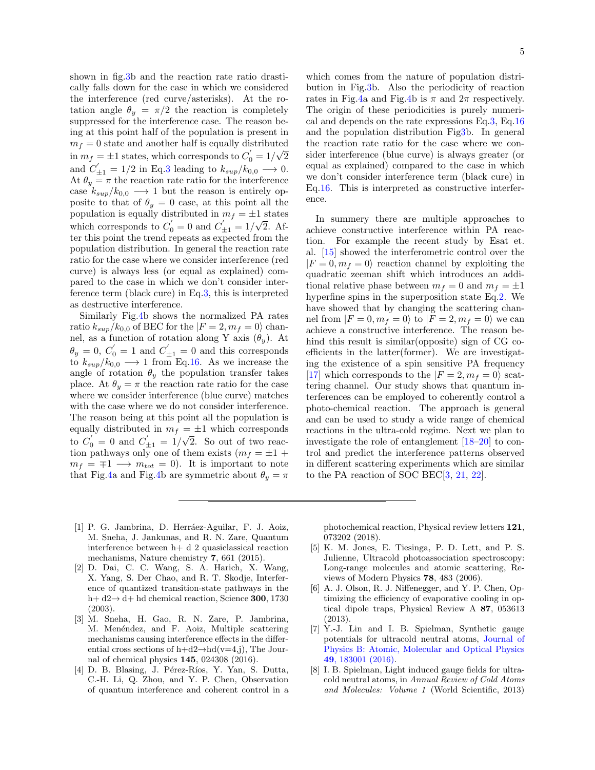shown in fig[.3b](#page-3-0) and the reaction rate ratio drastically falls down for the case in which we considered the interference (red curve/asterisks). At the rotation angle  $\theta_y = \pi/2$  the reaction is completely suppressed for the interference case. The reason being at this point half of the population is present in  $m_f = 0$  state and another half is equally distributed in  $m_f = \pm 1$  states, which corresponds to  $C_0' = 1/\sqrt{2}$ and  $C'_{\pm 1} = 1/2$  in Eq[.3](#page-1-0) leading to  $k_{sup}/k_{0,0} \longrightarrow 0$ . At  $\theta_y = \pi$  the reaction rate ratio for the interference case  $k_{sup}/k_{0,0} \longrightarrow 1$  but the reason is entirely opposite to that of  $\theta_y = 0$  case, at this point all the population is equally distributed in  $m_f = \pm 1$  states which corresponds to  $C'_0 = 0$  and  $C'_{\pm 1} = 1/\sqrt{2}$ . After this point the trend repeats as expected from the population distribution. In general the reaction rate ratio for the case where we consider interference (red curve) is always less (or equal as explained) compared to the case in which we don't consider interference term (black cure) in Eq[.3,](#page-1-0) this is interpreted as destructive interference.

Similarly Fig[.4b](#page-3-2) shows the normalized PA rates ratio  $k_{sup}/k_{0,0}$  of BEC for the  $|F = 2, m_f = 0\rangle$  channel, as a function of rotation along Y axis  $(\theta_y)$ . At  $\theta_y = 0, C'_0 = 1$  and  $C'_{\pm 1} = 0$  and this corresponds to  $k_{sup}/k_{0,0} \longrightarrow 1$  from Eq[.16.](#page-7-0) As we increase the angle of rotation  $\theta_y$  the population transfer takes place. At  $\theta_y = \pi$  the reaction rate ratio for the case where we consider interference (blue curve) matches with the case where we do not consider interference. The reason being at this point all the population is equally distributed in  $m_f = \pm 1$  which corresponds to  $C_0' = 0$  and  $C_{\pm 1}' = 1/\sqrt{2}$ . So out of two reaction pathways only one of them exists  $(m_f = \pm 1 +$  $m_f = \pm 1 \longrightarrow m_{tot} = 0$ . It is important to note that Fig[.4a](#page-3-2) and Fig[.4b](#page-3-2) are symmetric about  $\theta_y = \pi$  which comes from the nature of population distribution in Fig[.3b](#page-3-0). Also the periodicity of reaction rates in Fig[.4a](#page-3-2) and Fig[.4b](#page-3-2) is  $\pi$  and  $2\pi$  respectively. The origin of these periodicities is purely numerical and depends on the rate expressions Eq[.3,](#page-1-0) Eq[.16](#page-7-0) and the population distribution Fi[g3b](#page-3-0). In general the reaction rate ratio for the case where we consider interference (blue curve) is always greater (or equal as explained) compared to the case in which we don't consider interference term (black cure) in Eq[.16.](#page-7-0) This is interpreted as constructive interference.

In summery there are multiple approaches to achieve constructive interference within PA reaction. For example the recent study by Esat et. al. [\[15\]](#page-5-6) showed the interferometric control over the  $|F = 0, m<sub>f</sub> = 0\rangle$  reaction channel by exploiting the quadratic zeeman shift which introduces an additional relative phase between  $m_f = 0$  and  $m_f = \pm 1$ hyperfine spins in the superposition state Eq[.2.](#page-0-2) We have showed that by changing the scattering channel from  $|F = 0, m_f = 0\rangle$  to  $|F = 2, m_f = 0\rangle$  we can achieve a constructive interference. The reason behind this result is similar(opposite) sign of CG coefficients in the latter(former). We are investigating the existence of a spin sensitive PA frequency [\[17\]](#page-5-8) which corresponds to the  $|F = 2, m_f = 0\rangle$  scattering channel. Our study shows that quantum interferences can be employed to coherently control a photo-chemical reaction. The approach is general and can be used to study a wide range of chemical reactions in the ultra-cold regime. Next we plan to investigate the role of entanglement [\[18–](#page-5-9)[20\]](#page-5-10) to control and predict the interference patterns observed in different scattering experiments which are similar to the PA reaction of SOC BEC[\[3,](#page-4-1) [21,](#page-5-11) [22\]](#page-5-12).

- <span id="page-4-0"></span>[1] P. G. Jambrina, D. Herráez-Aguilar, F. J. Aoiz, M. Sneha, J. Jankunas, and R. N. Zare, Quantum interference between h+ d 2 quasiclassical reaction mechanisms, Nature chemistry 7, 661 (2015).
- [2] D. Dai, C. C. Wang, S. A. Harich, X. Wang, X. Yang, S. Der Chao, and R. T. Skodje, Interference of quantized transition-state pathways in the h+ d2→ d+ hd chemical reaction, Science 300, 1730 (2003).
- <span id="page-4-1"></span>[3] M. Sneha, H. Gao, R. N. Zare, P. Jambrina, M. Menéndez, and F. Aoiz, Multiple scattering mechanisms causing interference effects in the differential cross sections of  $h+d2\rightarrow hd(v=4,i)$ , The Journal of chemical physics 145, 024308 (2016).
- <span id="page-4-2"></span>[4] D. B. Blasing, J. Pérez-Ríos, Y. Yan, S. Dutta, C.-H. Li, Q. Zhou, and Y. P. Chen, Observation of quantum interference and coherent control in a

photochemical reaction, Physical review letters 121, 073202 (2018).

- <span id="page-4-3"></span>[5] K. M. Jones, E. Tiesinga, P. D. Lett, and P. S. Julienne, Ultracold photoassociation spectroscopy: Long-range molecules and atomic scattering, Reviews of Modern Physics 78, 483 (2006).
- <span id="page-4-4"></span>[6] A. J. Olson, R. J. Niffenegger, and Y. P. Chen, Optimizing the efficiency of evaporative cooling in optical dipole traps, Physical Review A 87, 053613 (2013).
- <span id="page-4-5"></span>[7] Y.-J. Lin and I. B. Spielman, Synthetic gauge potentials for ultracold neutral atoms, [Journal of](https://doi.org/10.1088/0953-4075/49/18/183001) [Physics B: Atomic, Molecular and Optical Physics](https://doi.org/10.1088/0953-4075/49/18/183001) 49[, 183001 \(2016\).](https://doi.org/10.1088/0953-4075/49/18/183001)
- <span id="page-4-6"></span>[8] I. B. Spielman, Light induced gauge fields for ultracold neutral atoms, in Annual Review of Cold Atoms and Molecules: Volume 1 (World Scientific, 2013)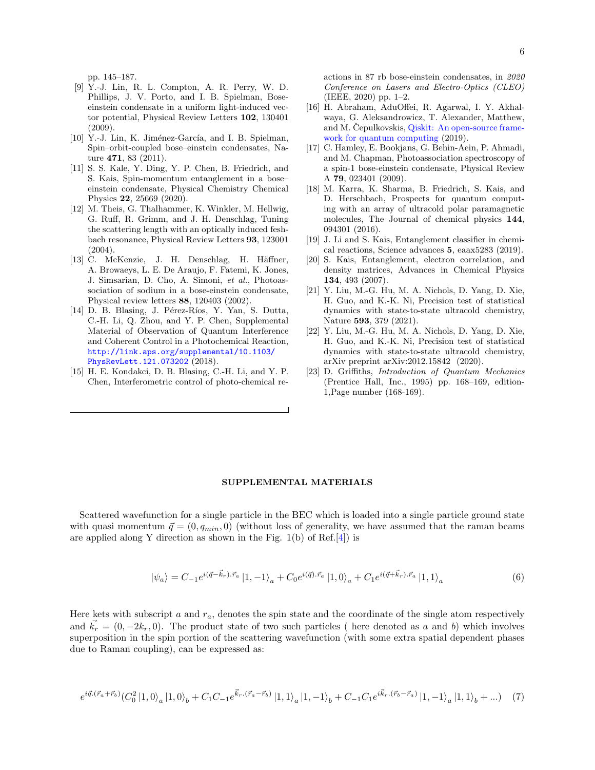- <span id="page-5-0"></span>[9] Y.-J. Lin, R. L. Compton, A. R. Perry, W. D. Phillips, J. V. Porto, and I. B. Spielman, Boseeinstein condensate in a uniform light-induced vector potential, Physical Review Letters 102, 130401 (2009).
- <span id="page-5-1"></span>[10] Y.-J. Lin, K. Jiménez-García, and I. B. Spielman, Spin–orbit-coupled bose–einstein condensates, Nature 471, 83 (2011).
- <span id="page-5-2"></span>[11] S. S. Kale, Y. Ding, Y. P. Chen, B. Friedrich, and S. Kais, Spin-momentum entanglement in a bose– einstein condensate, Physical Chemistry Chemical Physics 22, 25669 (2020).
- <span id="page-5-3"></span>[12] M. Theis, G. Thalhammer, K. Winkler, M. Hellwig, G. Ruff, R. Grimm, and J. H. Denschlag, Tuning the scattering length with an optically induced feshbach resonance, Physical Review Letters 93, 123001  $(2004)$
- <span id="page-5-4"></span>[13] C. McKenzie, J. H. Denschlag, H. Häffner, A. Browaeys, L. E. De Araujo, F. Fatemi, K. Jones, J. Simsarian, D. Cho, A. Simoni, et al., Photoassociation of sodium in a bose-einstein condensate, Physical review letters 88, 120403 (2002).
- <span id="page-5-5"></span>[14] D. B. Blasing, J. Pérez-Ríos, Y. Yan, S. Dutta, C.-H. Li, Q. Zhou, and Y. P. Chen, Supplemental Material of Observation of Quantum Interference and Coherent Control in a Photochemical Reaction, [http://link.aps.org/supplemental/10.1103/](http://link.aps.org/supplemental/10.1103/PhysRevLett.121.073202) [PhysRevLett.121.073202](http://link.aps.org/supplemental/10.1103/PhysRevLett.121.073202) (2018).
- <span id="page-5-6"></span>[15] H. E. Kondakci, D. B. Blasing, C.-H. Li, and Y. P. Chen, Interferometric control of photo-chemical re-

actions in 87 rb bose-einstein condensates, in 2020 Conference on Lasers and Electro-Optics (CLEO) (IEEE, 2020) pp. 1–2.

- <span id="page-5-7"></span>[16] H. Abraham, AduOffei, R. Agarwal, I. Y. Akhalwaya, G. Aleksandrowicz, T. Alexander, Matthew, and M. Cepulkovskis, [Qiskit: An open-source frame](https://doi.org/10.5281/zenodo.2562110)[work for quantum computing](https://doi.org/10.5281/zenodo.2562110) (2019).
- <span id="page-5-8"></span>[17] C. Hamley, E. Bookjans, G. Behin-Aein, P. Ahmadi, and M. Chapman, Photoassociation spectroscopy of a spin-1 bose-einstein condensate, Physical Review A 79, 023401 (2009).
- <span id="page-5-9"></span>[18] M. Karra, K. Sharma, B. Friedrich, S. Kais, and D. Herschbach, Prospects for quantum computing with an array of ultracold polar paramagnetic molecules, The Journal of chemical physics 144, 094301 (2016).
- [19] J. Li and S. Kais, Entanglement classifier in chemical reactions, Science advances 5, eaax5283 (2019).
- <span id="page-5-10"></span>[20] S. Kais, Entanglement, electron correlation, and density matrices, Advances in Chemical Physics 134, 493 (2007).
- <span id="page-5-11"></span>[21] Y. Liu, M.-G. Hu, M. A. Nichols, D. Yang, D. Xie, H. Guo, and K.-K. Ni, Precision test of statistical dynamics with state-to-state ultracold chemistry, Nature 593, 379 (2021).
- <span id="page-5-12"></span>[22] Y. Liu, M.-G. Hu, M. A. Nichols, D. Yang, D. Xie, H. Guo, and K.-K. Ni, Precision test of statistical dynamics with state-to-state ultracold chemistry, arXiv preprint arXiv:2012.15842 (2020).
- <span id="page-5-13"></span>[23] D. Griffiths, Introduction of Quantum Mechanics (Prentice Hall, Inc., 1995) pp. 168–169, edition-1,Page number (168-169).

## SUPPLEMENTAL MATERIALS

Scattered wavefunction for a single particle in the BEC which is loaded into a single particle ground state with quasi momentum  $\vec{q} = (0, q_{min}, 0)$  (without loss of generality, we have assumed that the raman beams are applied along Y direction as shown in the Fig.  $1(b)$  of Ref.[\[4\]](#page-4-2)) is

$$
|\psi_a\rangle = C_{-1}e^{i(\vec{q}-\vec{k}_r)\cdot\vec{r}_a} \left|1, -1\right\rangle_a + C_0 e^{i(\vec{q})\cdot\vec{r}_a} \left|1, 0\right\rangle_a + C_1 e^{i(\vec{q}+\vec{k}_r)\cdot\vec{r}_a} \left|1, 1\right\rangle_a \tag{6}
$$

Here kets with subscript a and  $r_a$ , denotes the spin state and the coordinate of the single atom respectively and  $\vec{k_r} = (0, -2k_r, 0)$ . The product state of two such particles ( here denoted as a and b) which involves superposition in the spin portion of the scattering wavefunction (with some extra spatial dependent phases due to Raman coupling), can be expressed as:

$$
e^{i\vec{q}\cdot(\vec{r}_a+\vec{r}_b)}(C_0^2\ket{1,0}_a\ket{1,0}_b+C_1C_{-1}e^{\vec{k}_r\cdot(\vec{r}_a-\vec{r}_b)}\ket{1,1}_a\ket{1,-1}_b+C_{-1}C_1e^{i\vec{k}_r\cdot(\vec{r}_b-\vec{r}_a)}\ket{1,-1}_a\ket{1,1}_b+...)
$$
(7)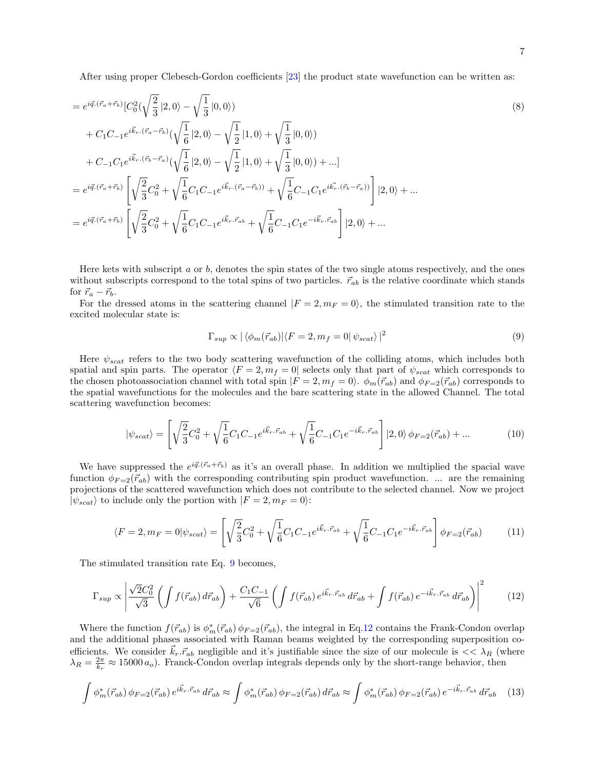After using proper Clebesch-Gordon coefficients [\[23\]](#page-5-13) the product state wavefunction can be written as:

$$
= e^{i\vec{q}\cdot(\vec{r}_a + \vec{r}_b)} [C_0^2(\sqrt{\frac{2}{3}} | 2, 0\rangle - \sqrt{\frac{1}{3}} | 0, 0\rangle)
$$
  
+  $C_1 C_{-1} e^{i\vec{k}_r \cdot (\vec{r}_a - \vec{r}_b)} (\sqrt{\frac{1}{6}} | 2, 0\rangle - \sqrt{\frac{1}{2}} | 1, 0\rangle + \sqrt{\frac{1}{3}} | 0, 0\rangle)$   
+  $C_{-1} C_1 e^{i\vec{k}_r \cdot (\vec{r}_b - \vec{r}_a)} (\sqrt{\frac{1}{6}} | 2, 0\rangle - \sqrt{\frac{1}{2}} | 1, 0\rangle + \sqrt{\frac{1}{3}} | 0, 0\rangle) + ...]$   
=  $e^{i\vec{q}\cdot (\vec{r}_a + \vec{r}_b)} \left[ \sqrt{\frac{2}{3}} C_0^2 + \sqrt{\frac{1}{6}} C_1 C_{-1} e^{i\vec{k}_r \cdot (\vec{r}_a - \vec{r}_b)} + \sqrt{\frac{1}{6}} C_{-1} C_1 e^{i\vec{k}_r \cdot (\vec{r}_b - \vec{r}_a)} \right] | 2, 0\rangle + ...$   
=  $e^{i\vec{q}\cdot (\vec{r}_a + \vec{r}_b)} \left[ \sqrt{\frac{2}{3}} C_0^2 + \sqrt{\frac{1}{6}} C_1 C_{-1} e^{i\vec{k}_r \cdot \vec{r}_{ab}} + \sqrt{\frac{1}{6}} C_{-1} C_1 e^{-i\vec{k}_r \cdot \vec{r}_{ab}} \right] | 2, 0\rangle + ...$ 

Here kets with subscript  $a$  or  $b$ , denotes the spin states of the two single atoms respectively, and the ones without subscripts correspond to the total spins of two particles.  $\vec{r}_{ab}$  is the relative coordinate which stands for  $\vec{r}_a - \vec{r}_b$ .

For the dressed atoms in the scattering channel  $|F = 2, m_F = 0\rangle$ , the stimulated transition rate to the excited molecular state is:

<span id="page-6-0"></span>
$$
\Gamma_{sup} \propto |\langle \phi_m(\vec{r}_{ab})| \langle F=2, m_f=0 | \psi_{scat} \rangle|^2 \tag{9}
$$

Here  $\psi_{scat}$  refers to the two body scattering wavefunction of the colliding atoms, which includes both spatial and spin parts. The operator  $\langle F = 2, m_f = 0|$  selects only that part of  $\psi_{scat}$  which corresponds to the chosen photoassociation channel with total spin  $|F = 2, m_f = 0\rangle$ .  $\phi_m(\vec{r}_{ab})$  and  $\phi_{F=2}(\vec{r}_{ab})$  corresponds to the spatial wavefunctions for the molecules and the bare scattering state in the allowed Channel. The total scattering wavefunction becomes:

$$
|\psi_{scat}\rangle = \left[\sqrt{\frac{2}{3}}C_0^2 + \sqrt{\frac{1}{6}}C_1C_{-1}e^{i\vec{k}_r \cdot \vec{r}_{ab}} + \sqrt{\frac{1}{6}}C_{-1}C_1e^{-i\vec{k}_r \cdot \vec{r}_{ab}}\right]|2,0\rangle \phi_{F=2}(\vec{r}_{ab}) + ...
$$
 (10)

We have suppressed the  $e^{i\vec{q}\cdot(\vec{r}_a+\vec{r}_b)}$  as it's an overall phase. In addition we multiplied the spacial wave function  $\phi_{F=2}(\vec{r}_{ab})$  with the corresponding contributing spin product wavefunction. ... are the remaining projections of the scattered wavefunction which does not contribute to the selected channel. Now we project  $|\psi_{scat}\rangle$  to include only the portion with  $|F = 2, m_F = 0\rangle$ :

$$
\langle F=2, m_F=0 | \psi_{scat} \rangle = \left[ \sqrt{\frac{2}{3}} C_0^2 + \sqrt{\frac{1}{6}} C_1 C_{-1} e^{i \vec{k}_r \cdot \vec{r}_{ab}} + \sqrt{\frac{1}{6}} C_{-1} C_1 e^{-i \vec{k}_r \cdot \vec{r}_{ab}} \right] \phi_{F=2}(\vec{r}_{ab}) \tag{11}
$$

The stimulated transition rate Eq. [9](#page-6-0) becomes,

<span id="page-6-1"></span>
$$
\Gamma_{sup} \propto \left| \frac{\sqrt{2}C_0^2}{\sqrt{3}} \left( \int f(\vec{r}_{ab}) d\vec{r}_{ab} \right) + \frac{C_1 C_{-1}}{\sqrt{6}} \left( \int f(\vec{r}_{ab}) e^{i\vec{k}_r \cdot \vec{r}_{ab}} d\vec{r}_{ab} + \int f(\vec{r}_{ab}) e^{-i\vec{k}_r \cdot \vec{r}_{ab}} d\vec{r}_{ab} \right) \right|^2 \tag{12}
$$

Where the function  $f(\vec{r}_{ab})$  is  $\phi_m^*(\vec{r}_{ab}) \phi_{F=2}(\vec{r}_{ab})$ , the integral in Eq[.12](#page-6-1) contains the Frank-Condon overlap and the additional phases associated with Raman beams weighted by the corresponding superposition coefficients. We consider  $\vec{k}_r \cdot \vec{r}_{ab}$  negligible and it's justifiable since the size of our molecule is  $<< \lambda_R$  (where  $\lambda_R = \frac{2\pi}{k_r} \approx 15000 a_o$ ). Franck-Condon overlap integrals depends only by the short-range behavior, then

$$
\int \phi_m^*(\vec{r}_{ab}) \, \phi_{F=2}(\vec{r}_{ab}) \, e^{i\vec{k}_r \cdot \vec{r}_{ab}} \, d\vec{r}_{ab} \approx \int \phi_m^*(\vec{r}_{ab}) \, \phi_{F=2}(\vec{r}_{ab}) \, d\vec{r}_{ab} \approx \int \phi_m^*(\vec{r}_{ab}) \, \phi_{F=2}(\vec{r}_{ab}) \, e^{-i\vec{k}_r \cdot \vec{r}_{ab}} \, d\vec{r}_{ab} \tag{13}
$$